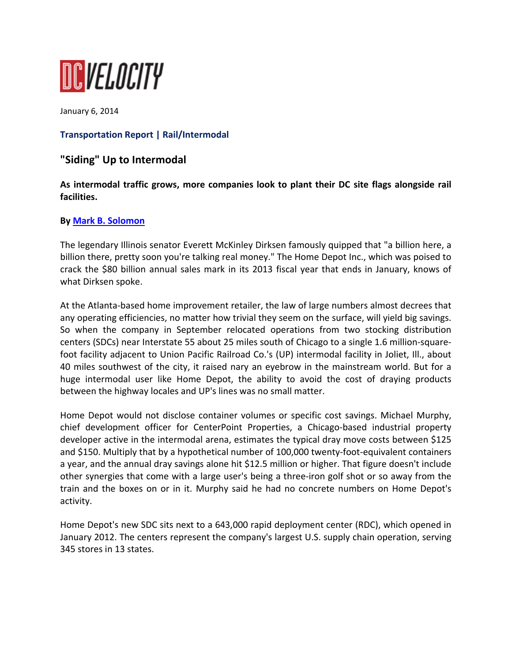

January 6, 2014

## **Transportation Report | Rail/Intermodal**

# **"Siding" Up to Intermodal**

**As intermodal traffic grows, more companies look to plant their DC site flags alongside rail facilities.**

#### **By Mark B. Solomon**

The legendary Illinois senator Everett McKinley Dirksen famously quipped that "a billion here, a billion there, pretty soon you're talking real money." The Home Depot Inc., which was poised to crack the \$80 billion annual sales mark in its 2013 fiscal year that ends in January, knows of what Dirksen spoke.

At the Atlanta‐based home improvement retailer, the law of large numbers almost decrees that any operating efficiencies, no matter how trivial they seem on the surface, will yield big savings. So when the company in September relocated operations from two stocking distribution centers (SDCs) near Interstate 55 about 25 miles south of Chicago to a single 1.6 million‐square‐ foot facility adjacent to Union Pacific Railroad Co.'s (UP) intermodal facility in Joliet, Ill., about 40 miles southwest of the city, it raised nary an eyebrow in the mainstream world. But for a huge intermodal user like Home Depot, the ability to avoid the cost of draying products between the highway locales and UP's lines was no small matter.

Home Depot would not disclose container volumes or specific cost savings. Michael Murphy, chief development officer for CenterPoint Properties, a Chicago‐based industrial property developer active in the intermodal arena, estimates the typical dray move costs between \$125 and \$150. Multiply that by a hypothetical number of 100,000 twenty-foot-equivalent containers a year, and the annual dray savings alone hit \$12.5 million or higher. That figure doesn't include other synergies that come with a large user's being a three‐iron golf shot or so away from the train and the boxes on or in it. Murphy said he had no concrete numbers on Home Depot's activity.

Home Depot's new SDC sits next to a 643,000 rapid deployment center (RDC), which opened in January 2012. The centers represent the company's largest U.S. supply chain operation, serving 345 stores in 13 states.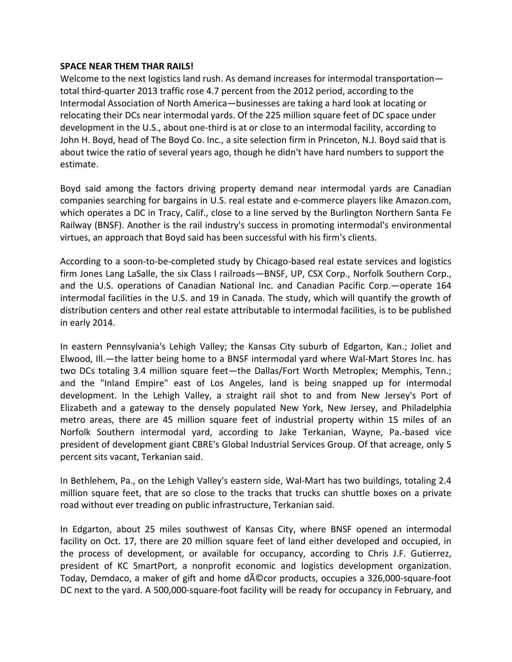#### **SPACE NEAR THEM THAR RAILS!**

Welcome to the next logistics land rush. As demand increases for intermodal transportation total third‐quarter 2013 traffic rose 4.7 percent from the 2012 period, according to the Intermodal Association of North America—businesses are taking a hard look at locating or relocating their DCs near intermodal yards. Of the 225 million square feet of DC space under development in the U.S., about one‐third is at or close to an intermodal facility, according to John H. Boyd, head of The Boyd Co. Inc., a site selection firm in Princeton, N.J. Boyd said that is about twice the ratio of several years ago, though he didn't have hard numbers to support the estimate.

Boyd said among the factors driving property demand near intermodal yards are Canadian companies searching for bargains in U.S. real estate and e‐commerce players like Amazon.com, which operates a DC in Tracy, Calif., close to a line served by the Burlington Northern Santa Fe Railway (BNSF). Another is the rail industry's success in promoting intermodal's environmental virtues, an approach that Boyd said has been successful with his firm's clients.

According to a soon‐to‐be‐completed study by Chicago‐based real estate services and logistics firm Jones Lang LaSalle, the six Class I railroads—BNSF, UP, CSX Corp., Norfolk Southern Corp., and the U.S. operations of Canadian National Inc. and Canadian Pacific Corp.—operate 164 intermodal facilities in the U.S. and 19 in Canada. The study, which will quantify the growth of distribution centers and other real estate attributable to intermodal facilities, is to be published in early 2014.

In eastern Pennsylvania's Lehigh Valley; the Kansas City suburb of Edgarton, Kan.; Joliet and Elwood, Ill.—the latter being home to a BNSF intermodal yard where Wal-Mart Stores Inc. has two DCs totaling 3.4 million square feet—the Dallas/Fort Worth Metroplex; Memphis, Tenn.; and the "Inland Empire" east of Los Angeles, land is being snapped up for intermodal development. In the Lehigh Valley, a straight rail shot to and from New Jersey's Port of Elizabeth and a gateway to the densely populated New York, New Jersey, and Philadelphia metro areas, there are 45 million square feet of industrial property within 15 miles of an Norfolk Southern intermodal yard, according to Jake Terkanian, Wayne, Pa.‐based vice president of development giant CBRE's Global Industrial Services Group. Of that acreage, only 5 percent sits vacant, Terkanian said.

In Bethlehem, Pa., on the Lehigh Valley's eastern side, Wal‐Mart has two buildings, totaling 2.4 million square feet, that are so close to the tracks that trucks can shuttle boxes on a private road without ever treading on public infrastructure, Terkanian said.

In Edgarton, about 25 miles southwest of Kansas City, where BNSF opened an intermodal facility on Oct. 17, there are 20 million square feet of land either developed and occupied, in the process of development, or available for occupancy, according to Chris J.F. Gutierrez, president of KC SmartPort, a nonprofit economic and logistics development organization. Today, Demdaco, a maker of gift and home d $\overline{A}$ ©cor products, occupies a 326,000-square-foot DC next to the yard. A 500,000‐square‐foot facility will be ready for occupancy in February, and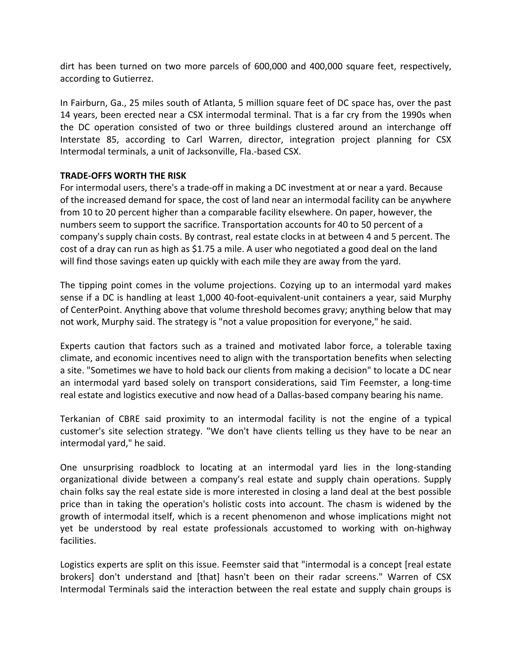dirt has been turned on two more parcels of 600,000 and 400,000 square feet, respectively, according to Gutierrez.

In Fairburn, Ga., 25 miles south of Atlanta, 5 million square feet of DC space has, over the past 14 years, been erected near a CSX intermodal terminal. That is a far cry from the 1990s when the DC operation consisted of two or three buildings clustered around an interchange off Interstate 85, according to Carl Warren, director, integration project planning for CSX Intermodal terminals, a unit of Jacksonville, Fla.‐based CSX.

### **TRADE‐OFFS WORTH THE RISK**

For intermodal users, there's a trade‐off in making a DC investment at or near a yard. Because of the increased demand for space, the cost of land near an intermodal facility can be anywhere from 10 to 20 percent higher than a comparable facility elsewhere. On paper, however, the numbers seem to support the sacrifice. Transportation accounts for 40 to 50 percent of a company's supply chain costs. By contrast, real estate clocks in at between 4 and 5 percent. The cost of a dray can run as high as \$1.75 a mile. A user who negotiated a good deal on the land will find those savings eaten up quickly with each mile they are away from the yard.

The tipping point comes in the volume projections. Cozying up to an intermodal yard makes sense if a DC is handling at least 1,000 40-foot-equivalent-unit containers a year, said Murphy of CenterPoint. Anything above that volume threshold becomes gravy; anything below that may not work, Murphy said. The strategy is "not a value proposition for everyone," he said.

Experts caution that factors such as a trained and motivated labor force, a tolerable taxing climate, and economic incentives need to align with the transportation benefits when selecting a site. "Sometimes we have to hold back our clients from making a decision" to locate a DC near an intermodal yard based solely on transport considerations, said Tim Feemster, a long-time real estate and logistics executive and now head of a Dallas-based company bearing his name.

Terkanian of CBRE said proximity to an intermodal facility is not the engine of a typical customer's site selection strategy. "We don't have clients telling us they have to be near an intermodal yard," he said.

One unsurprising roadblock to locating at an intermodal yard lies in the long‐standing organizational divide between a company's real estate and supply chain operations. Supply chain folks say the real estate side is more interested in closing a land deal at the best possible price than in taking the operation's holistic costs into account. The chasm is widened by the growth of intermodal itself, which is a recent phenomenon and whose implications might not yet be understood by real estate professionals accustomed to working with on‐highway facilities.

Logistics experts are split on this issue. Feemster said that "intermodal is a concept [real estate brokers] don't understand and [that] hasn't been on their radar screens." Warren of CSX Intermodal Terminals said the interaction between the real estate and supply chain groups is